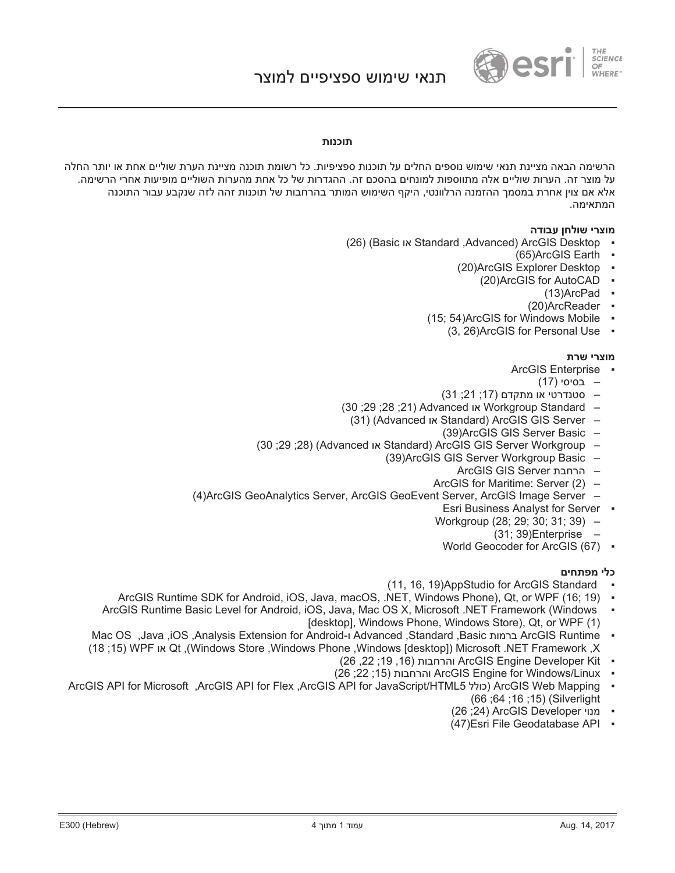

## תוכנות

הרשימה הראה מציינת תנאי שימוש נוספים החלים על תוכנות ספציפיות. כל רשומת תוכנה מציינת הערת שוליים אחת או יותר החלה על מוצר זה. הערות שוליים אלה מתווספות למונחים בהסכם זה. ההגדרות של כל אחת מהערות השוליים מופיעות אחרי הרשימה. אלא אם צוין אחרת במסמך ההזמנה הרלוונטי, היקף השימוש המותר בהרחבות של תוכנות זהה לזה שנקבע עבור התוכנה המתאימה.

#### מוצרי שולחן עבודה

- (26) (Basic או Standard ,Advanced) ArcGIS Desktop
	- $(65)$ ArcGIS Earth  $\bullet$
	- (20)ArcGIS Explorer Desktop
		- (20)ArcGIS for AutoCAD  $\cdot$ 
			- $(13)$ ArcPad  $\bullet$
			- $(20)$ ArcReader  $\cdot$
	- $(15; 54)$ ArcGIS for Windows Mobile  $\cdot$ 
		- $(3, 26)$ ArcGIS for Personal Use  $\cdot$

#### **מוצרי שרת**

- ArcGIS Enterprise
	- (17) בסיסי
- (31; 31 °C) סטנדרטי או מתקדם
- (30; 28; 28) Xdvanced או Workgroup Standard
	- (31) (Advanced או Standard) ArcGIS GIS Server
		- (39)ArcGIS GIS Server Basic –
- (30 :29 :28) (Advanced Ix Standard) ArcGIS GIS Server Workgroup
	- (39)ArcGIS GIS Server Workgroup Basic
		- הרחבת ArcGIS GIS Server
		- ArcGIS for Maritime: Server (2) –
- (4)ArcGIS GeoAnalytics Server, ArcGIS GeoEvent Server, ArcGIS Image Server
	- Esri Business Analyst for Server
	- Workgroup (28; 29; 30; 31; 39) -
		- $(31; 39)$ Enterprise
		- World Geocoder for ArcGIS (67) •

## כלי מפתחים

- (11, 16, 19) App Studio for ArcGIS Standard
- ArcGIS Runtime SDK for Android, iOS, Java, macOS, .NET, Windows Phone), Qt, or WPF (16: 19) -
- ArcGIS Runtime Basic Level for Android, iOS, Java, Mac OS X, Microsoft .NET Framework (Windows ƒ [desktop], Windows Phone, Windows Store), Qt, or WPF (1)
- Mac OS ,Java ,iOS ,Analysis Extension for Android-L Advanced ,Standard ,Basic ו-ArcGIS Runtime (Mac OS ( 1815 ) WPFʥʠ Qt ,(Windows Store ,Windows Phone ,Windows [desktop] ) Microsoft .NET Framework ,X
	- והרחבות (16, 19; 22, 28) ArcGIS Engine Developer Kit
	- (26; 22; 15) והרחבות ArcGIS Engine for Windows/Linux
- ArcGIS API for Microsoft ,ArcGIS API for Flex ,ArcGIS API for JavaScript/HTML5ʬʬʥʫ ArcGIS Web Mapping ƒ (66; 64; 16; 15) (Silverlight
	- ( 26 ;24) ArcGIS Developer •
	- (47) Esri File Geodatabase API •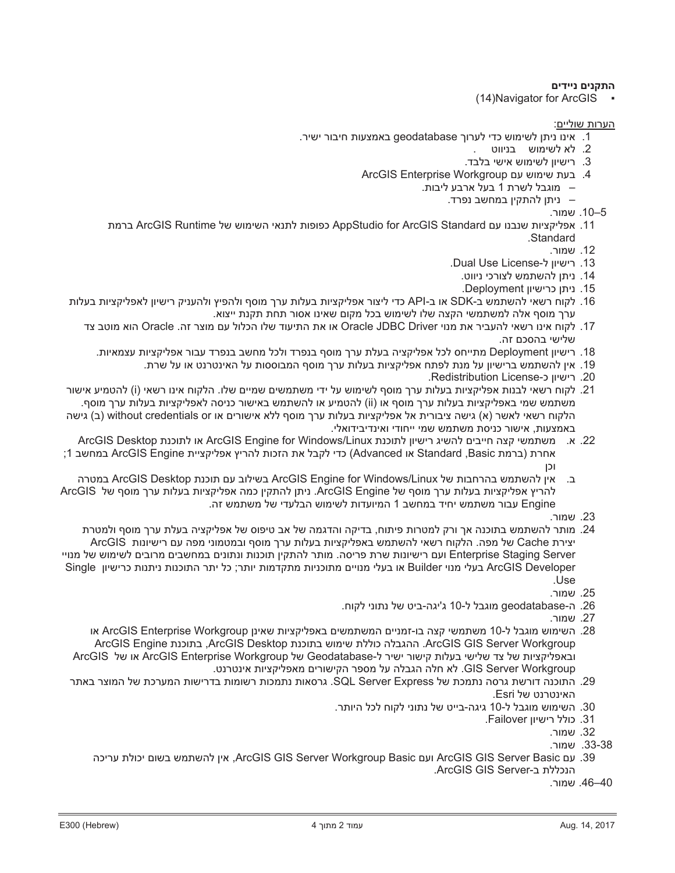# **ʭʩʣʩʩʰʭʩʰʷʺʤ**

 $(14)$ Navigator for ArcGIS

הערות שוליים:

- ינו ניתן לשימוש כדי לערוך geodatabase באמצעות חיבור ישיר.<br>
	- 2. לא לשימוש בניווט
	- . רישיון לשימוש אישי בלבד.
	- ArcGIS Enterprise Workgroup µ. בעת שימוש עם
		- מוגבל לשרת 1 בעל ארבע ליבות.
			- ניתן להתקין במחשב נפרד.
				- 10–5. שמור.
- ברמת ArcGIS Runtime אפליקציות שנבנו עם AppStudio for ArcGIS Standard .Standard
	- 12. שמור.
	- .Dual Use License-רישיוו ל-
	- 14. ניתו להשתמש לצורכי ניווט.
		- .Deployment ויתן כרישיון
- נין הרשאי להשתמש ב-SDK או ב-API כדי ליצור אפליקציות בעלות ערך מוסף ולהפיץ ולהעניק רישיון לאפליקציות בעלות .16 ערך מוסף אלה למשתמשי הקצה שלו לשימוש בכל מקום שאינו אסור תחת תקנת ייצוא.
	- 17. לקוח אינו רשאי להעביר את מנוי Oracle JDBC Driver או את התיעוד שלו הכלול עם מוצר זה. Oracle הוא מוטב צד שלישי בהסכם זה.
		- נישיון Deployment מתייחס לכל אפליקציה בעלת ערך מוסף בנפרד ולכל מחשב בנפרד עבור אפליקציות עצמאיות.
			- ני. אין להשתמש ברישיון על מנת לפתח אפליקציות בעלות ערך מוסף המבוססות על האינטרנט או על שרת.
				- .Redistribution License-> רישיון כ-
- 21. לקוח רשאי לבנות אפליקציות בעלות ערר מוסף לשימוש על ידי משתמשים שמיים שלו. הלקוח אינו רשאי (i) להטמיע אישור משתמש שמי באפליקציות בעלות ערך מוסף או (ii) להטמיע או להשתמש באישור כניסה לאפליקציות בעלות ערך מוסף. ב) אישה (א) גישה ציבורית אל אפליקציות בעלות ערך מוסף ללא אישורים או without credentials or (ב) גישה ∟באמצעות. אישור כניסת משתמש שמי ייחודי ואינדיבידואלי
- ArcGIS Desktop או לתוכנת ArcGIS Engine for Windows/Linux או לתוכנת ArcGIS Desktop נמחשב 1; ArcGIS Engine אחרת (ברמת Standard ,Basic או Advanced) כדי לקבל את הזכות להריץ אפליקציית ʯʫʥ
- בּ. אין להשתמש בהרחבות של ArcGIS Engine for Windows/Linux בשילוב עם תוכנת ArcGIS Desktop במטרה ArcGIS להריץ אפליקציות בעלות ערך מוסף של ArcGIS Engine. ניתן להתקין כמה אפליקציות בעלות ערך מוסף של ArcGIS נבור משתמש יחיד במחשב 1 המיועדות לשימוש הבלעדי של משתמש זה.
	- 23. שמור.
- ב. מותר להשתמש בתוכנה אר ורק למטרות פיתוח. בדיקה והדגמה של אב טיפוס של אפליקציה בעלת ערר מוסף ולמטרת . ∨צירת Cache של מפה. הלקוח רשאי להשתמש באפליקציות בעלות ערך מוסף ובמטמוני מפה עם רישיונות ArcGIS ʩʩʥʰʮʬʹʹʥʮʩʹʬʭʩʡʥʸʮʭʩʡʹʧʮʡʭʩʰʥʺʰʥʺʥʰʫʥʺʯʩʷʺʤʬʸʺʥʮʤʱʩʸʴʺʸʹʺʥʰʥʩʹʩʸʭʲʥ Enterprise Staging Server Single ʯʥʩʹʩʸʫʺʥʰʺʩʰʺʥʰʫʥʺʤʸʺʩʬʫʸʺʥʩʺʥʮʣʷʺʮʺʥʩʰʫʥʺʮʭʩʩʥʰʮʩʬʲʡʥʠ Builderʩʥʰʮʩʬʲʡ ArcGIS Developer .Use
	- **25.** שמור.
	- 26. ה-geodatabase מוגבל ל-10 ג'יגה-ביט של נתוני לקוח.
		- 27. שמור.
	- ג. השימוש מוגבל ל-10 משתמשי קצה בו-זמניים המשתמשים באפליקציות שאינן ArcGIS Enterprise Workgroup או ArcGIS Engine גמוכנת ArcGIS Desktop. ההגבלה כוללת שימוש בתוכנת ArcGIS Engine ArcGIS או של ArcGIS Enterprise Workgroup של Geodatabase-שׁט Geodatabase- או של ArcGIS ʨʰʸʨʰʩʠʺʥʩʶʷʩʬʴʠʮʭʩʸʥʹʩʷʤʸʴʱʮʬʲʤʬʡʢʤʤʬʧʠʬGIS Server Workgroup
	- 29. התוכנה דורשת גרסה נתמכת של SQL Server Express. גרסאות נתמכות רשומות בדרישות המערכת של המוצר באתר .Esri האינטרנט של
		- 30. השימוש מוגבל ל-10 גיגה-בייט של נתוני לקוח לכל היותר.
			- .Failover ו3. כולל רישיון
				- 32. שמור*.*
				- 33-38. שמור.
		- ʤʫʩʸʲʺʬʥʫʩʭʥʹʡ ʹʮʺʹʤʬʯʩʠArcGIS GIS Server Workgroup Basicʭʲʥ ArcGIS GIS Server Basicʭʲ .39 הנכללת ב-ArcGIS GIS Server.
			- 46–40. שמור.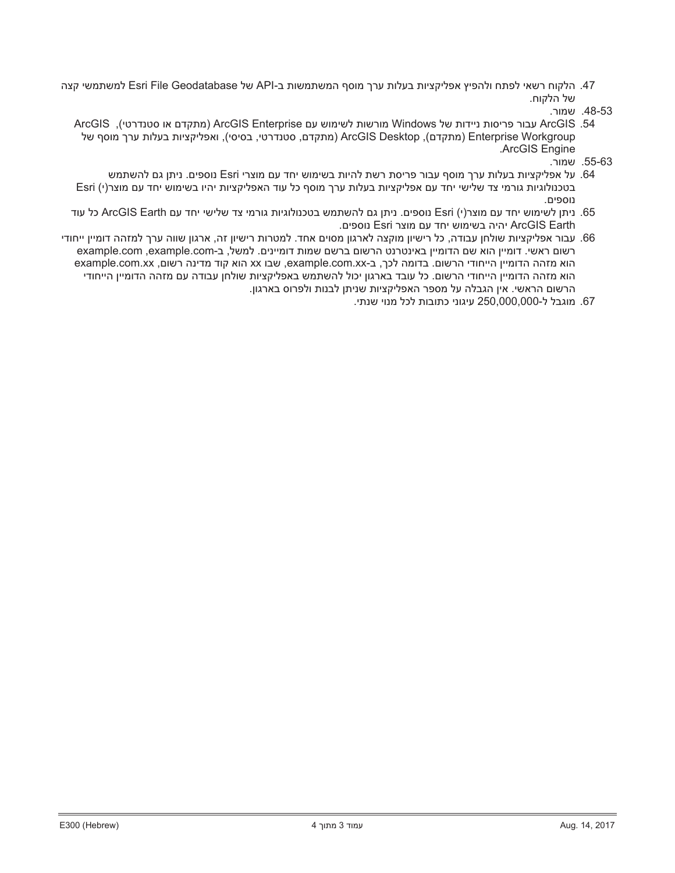למשתמשי קצה Esri File Geodatabase למשתמשי קצה API- בא. הלקוח רשאי לפתח ולהפיץ אפליקציות בעלות ערך מוסף המשתמשי של הלקוח.

- ArcGIS (מתקדם או סטנדרטי), ArcGIS Enterprise מורשות לשימוש עם ArcGIS Enterprise (מתקדם או סטנדרטי), מתקדם, סטנדרטי, בסיסי), ואפליקציות בעלות ערך מוסף של ArcGIS Desktop (מתקדם) ArcGIS Desktop .ArcGIS Engine
	- .55-63 שמור
- טעל אפליקציות בעלות ערך מוסף עבור פריסת רשת להיות בשימוש יחד עם מוצרי Esri נוספים. ניתן גם להשתמש 64 Esri (יוגיות גורמי צד שלישי יחד עם אפליקציות בעלות ערך מוסף כל עוד האפליקציות יהיו בשימוש יחד עם מוצר(י) Esri נוספים.
- ניתן לשימוש יחד עם מוצר(י) Esri נוספים. ניתן גם להשתמש בטכנולוגיות גורמי צד שלישי יחד עם ArcGIS Earth כל עוד . ʭʩʴʱʥʰ Esriʸʶʥʮʭʲʣʧʩʹʥʮʩʹʡʤʩʤʩ ArcGIS Earth
- 66. עבור אפליקציות שולחן עבודה, כל רישיון מוקצה לארגון מסוים אחד. למטרות רישיון זה, ארגון שווה ערך למזהה דומיין ייחודי example.com ,example.comרשום ראשי. דומיין הוא שם הדומיין באינטרנט הרשום ברשם שמות דומיינים. למשל, ב-example.com example.com.xx והוא מזהה הדומיין הייחודי הרשום. בדומה לכך, ב-example.com.xx-, שבו xx הוא קוד מדינה רשום, אדו example.com.xx הוא מזהה הדומיין הייחודי הרשום. כל עובד בארגון יכול להשתמש באפליקציות שולחן עבודה עם מזהה הדומיין הייחודי הרשום הראשי. אין הגבלה על מספר האפליקציות שניתן לבנות ולפרוס בארגון.

ʩʺʰʹʩʥʰʮʬʫʬʺʥʡʥʺʫʩʰʥʢʩʲ 250,000,000-ʬʬʡʢʥʮ .67

<sup>.48-53</sup> שמור.